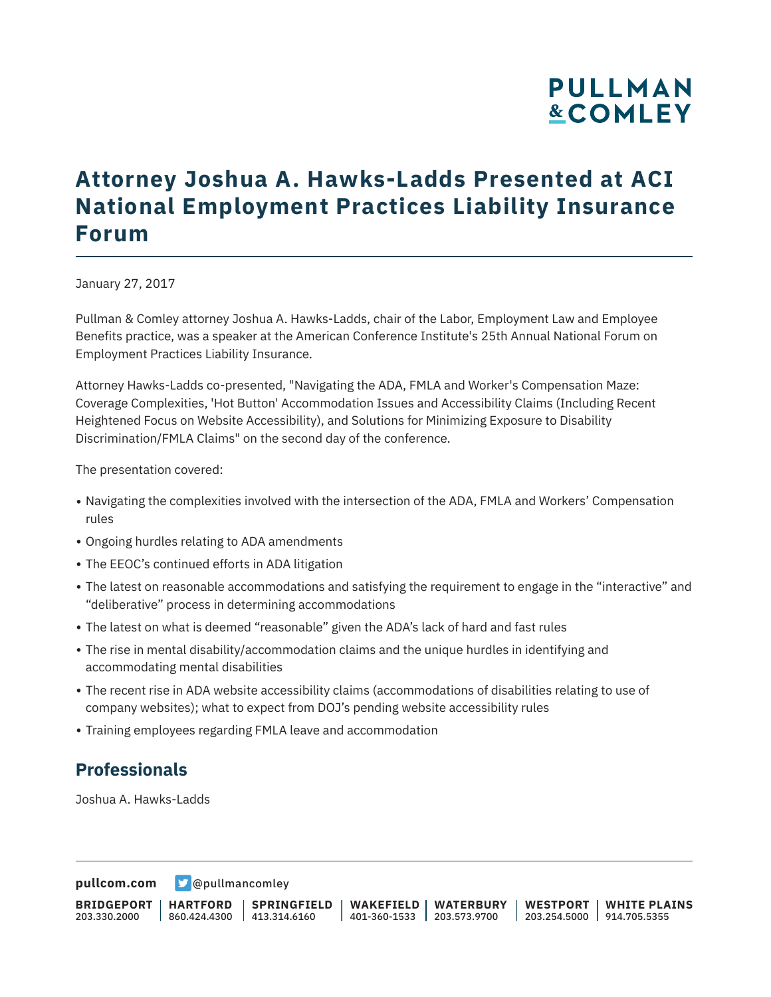# **PULLMAN &COMLEY**

## **Attorney Joshua A. Hawks-Ladds Presented at ACI National Employment Practices Liability Insurance Forum**

January 27, 2017

Pullman & Comley attorney Joshua A. Hawks-Ladds, chair of the Labor, Employment Law and Employee Benefits practice, was a speaker at the American Conference Institute's 25th Annual National Forum on Employment Practices Liability Insurance.

Attorney Hawks-Ladds co-presented, "Navigating the ADA, FMLA and Worker's Compensation Maze: Coverage Complexities, 'Hot Button' Accommodation Issues and Accessibility Claims (Including Recent Heightened Focus on Website Accessibility), and Solutions for Minimizing Exposure to Disability Discrimination/FMLA Claims" on the second day of the conference.

The presentation covered:

- Navigating the complexities involved with the intersection of the ADA, FMLA and Workers' Compensation rules
- Ongoing hurdles relating to ADA amendments
- The EEOC's continued efforts in ADA litigation
- The latest on reasonable accommodations and satisfying the requirement to engage in the "interactive" and "deliberative" process in determining accommodations
- The latest on what is deemed "reasonable" given the ADA's lack of hard and fast rules
- The rise in mental disability/accommodation claims and the unique hurdles in identifying and accommodating mental disabilities
- The recent rise in ADA website accessibility claims (accommodations of disabilities relating to use of company websites); what to expect from DOJ's pending website accessibility rules
- Training employees regarding FMLA leave and accommodation

#### **Professionals**

Joshua A. Hawks-Ladds

**[pullcom.com](https://www.pullcom.com) g** [@pullmancomley](https://twitter.com/PullmanComley)